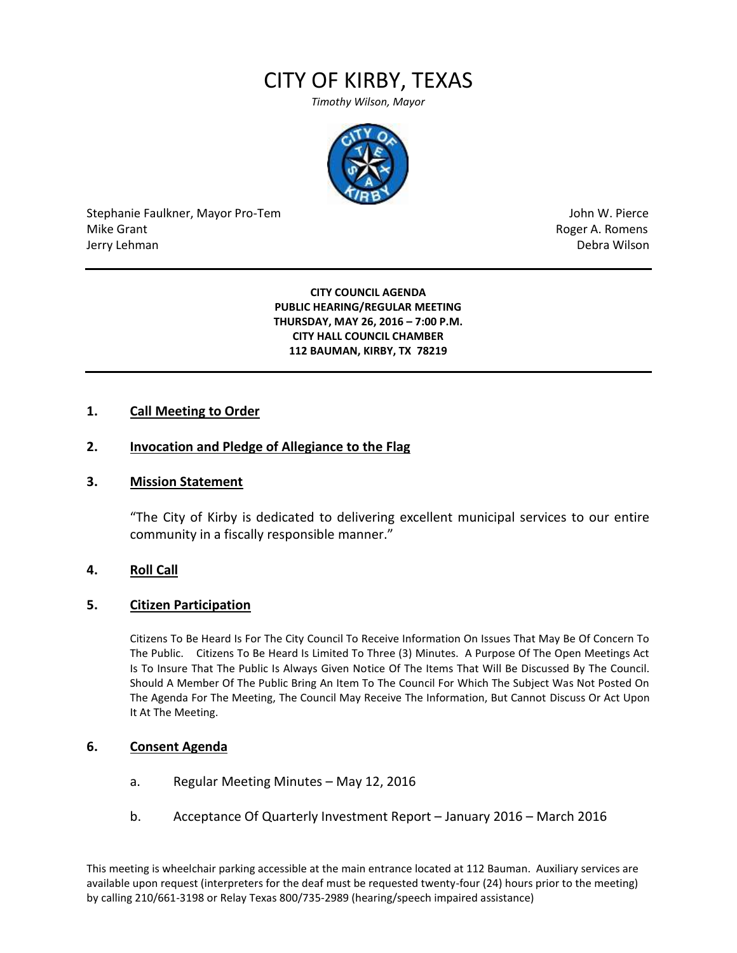# CITY OF KIRBY, TEXAS

*Timothy Wilson, Mayor*



Stephanie Faulkner, Mayor Pro-Tem John W. Pierce Mike Grant **Mike Grant** Roger A. Romens and Allen Roger A. Romens and Allen Roger A. Romens and Allen Roger A. Romens and Allen Roger A. Romens and Allen Roger A. Romens and Allen Roger A. Romens and Allen Roger A. Romens Jerry Lehman Debra Wilson (2008) and the state of the state of the state of the state of the state of the state of the state of the state of the state of the state of the state of the state of the state of the state of the

#### **CITY COUNCIL AGENDA PUBLIC HEARING/REGULAR MEETING THURSDAY, MAY 26, 2016 – 7:00 P.M. CITY HALL COUNCIL CHAMBER 112 BAUMAN, KIRBY, TX 78219**

### **1. Call Meeting to Order**

## **2. Invocation and Pledge of Allegiance to the Flag**

#### **3. Mission Statement**

"The City of Kirby is dedicated to delivering excellent municipal services to our entire community in a fiscally responsible manner."

#### **4. Roll Call**

#### **5. Citizen Participation**

Citizens To Be Heard Is For The City Council To Receive Information On Issues That May Be Of Concern To The Public. Citizens To Be Heard Is Limited To Three (3) Minutes. A Purpose Of The Open Meetings Act Is To Insure That The Public Is Always Given Notice Of The Items That Will Be Discussed By The Council. Should A Member Of The Public Bring An Item To The Council For Which The Subject Was Not Posted On The Agenda For The Meeting, The Council May Receive The Information, But Cannot Discuss Or Act Upon It At The Meeting.

#### **6. Consent Agenda**

- a. Regular Meeting Minutes May 12, 2016
- b. Acceptance Of Quarterly Investment Report January 2016 March 2016

This meeting is wheelchair parking accessible at the main entrance located at 112 Bauman. Auxiliary services are available upon request (interpreters for the deaf must be requested twenty-four (24) hours prior to the meeting) by calling 210/661-3198 or Relay Texas 800/735-2989 (hearing/speech impaired assistance)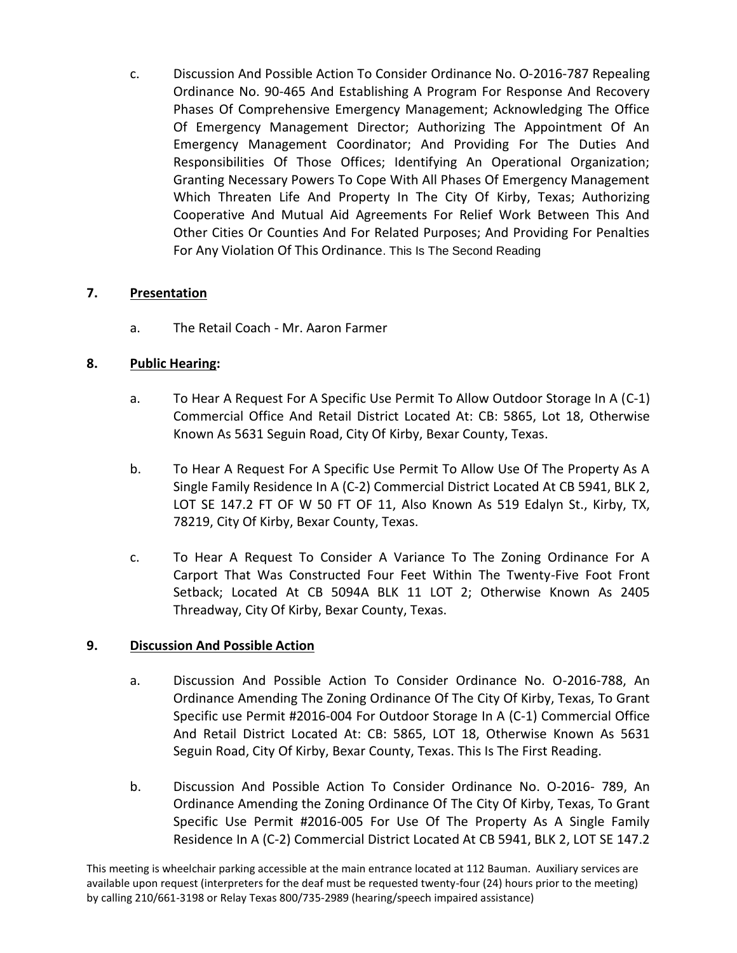c. Discussion And Possible Action To Consider Ordinance No. O-2016-787 Repealing Ordinance No. 90-465 And Establishing A Program For Response And Recovery Phases Of Comprehensive Emergency Management; Acknowledging The Office Of Emergency Management Director; Authorizing The Appointment Of An Emergency Management Coordinator; And Providing For The Duties And Responsibilities Of Those Offices; Identifying An Operational Organization; Granting Necessary Powers To Cope With All Phases Of Emergency Management Which Threaten Life And Property In The City Of Kirby, Texas; Authorizing Cooperative And Mutual Aid Agreements For Relief Work Between This And Other Cities Or Counties And For Related Purposes; And Providing For Penalties For Any Violation Of This Ordinance. This Is The Second Reading

## **7. Presentation**

a. The Retail Coach - Mr. Aaron Farmer

# **8. Public Hearing:**

- a. To Hear A Request For A Specific Use Permit To Allow Outdoor Storage In A (C-1) Commercial Office And Retail District Located At: CB: 5865, Lot 18, Otherwise Known As 5631 Seguin Road, City Of Kirby, Bexar County, Texas.
- b. To Hear A Request For A Specific Use Permit To Allow Use Of The Property As A Single Family Residence In A (C-2) Commercial District Located At CB 5941, BLK 2, LOT SE 147.2 FT OF W 50 FT OF 11, Also Known As 519 Edalyn St., Kirby, TX, 78219, City Of Kirby, Bexar County, Texas.
- c. To Hear A Request To Consider A Variance To The Zoning Ordinance For A Carport That Was Constructed Four Feet Within The Twenty-Five Foot Front Setback; Located At CB 5094A BLK 11 LOT 2; Otherwise Known As 2405 Threadway, City Of Kirby, Bexar County, Texas.

## **9. Discussion And Possible Action**

- a. Discussion And Possible Action To Consider Ordinance No. O-2016-788, An Ordinance Amending The Zoning Ordinance Of The City Of Kirby, Texas, To Grant Specific use Permit #2016-004 For Outdoor Storage In A (C-1) Commercial Office And Retail District Located At: CB: 5865, LOT 18, Otherwise Known As 5631 Seguin Road, City Of Kirby, Bexar County, Texas. This Is The First Reading.
- b. Discussion And Possible Action To Consider Ordinance No. O-2016- 789, An Ordinance Amending the Zoning Ordinance Of The City Of Kirby, Texas, To Grant Specific Use Permit #2016-005 For Use Of The Property As A Single Family Residence In A (C-2) Commercial District Located At CB 5941, BLK 2, LOT SE 147.2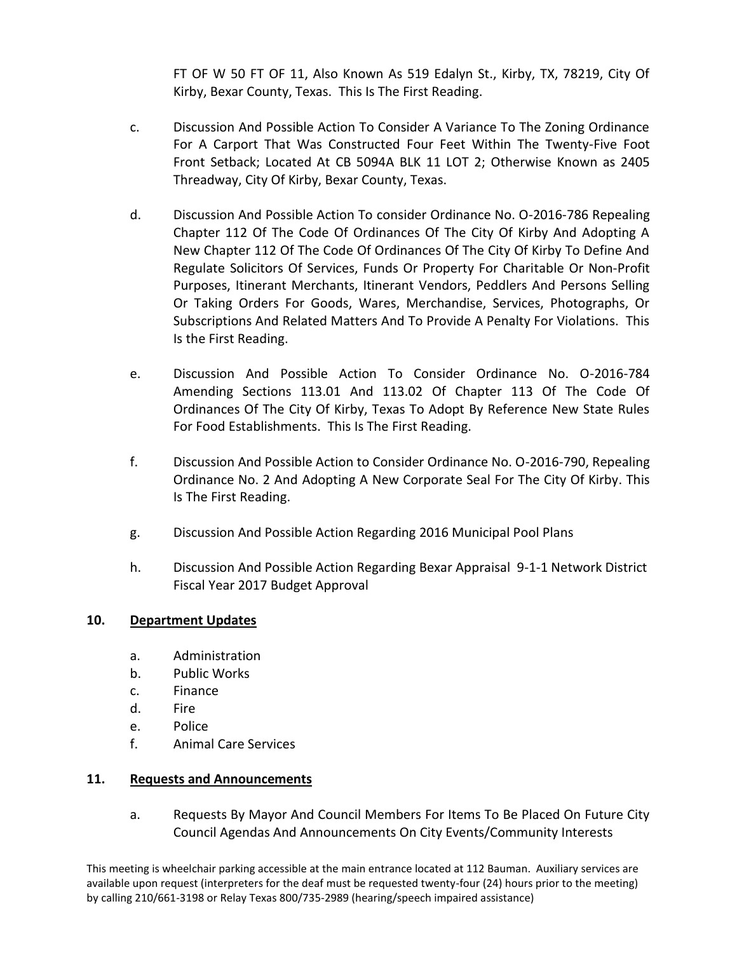FT OF W 50 FT OF 11, Also Known As 519 Edalyn St., Kirby, TX, 78219, City Of Kirby, Bexar County, Texas. This Is The First Reading.

- c. Discussion And Possible Action To Consider A Variance To The Zoning Ordinance For A Carport That Was Constructed Four Feet Within The Twenty-Five Foot Front Setback; Located At CB 5094A BLK 11 LOT 2; Otherwise Known as 2405 Threadway, City Of Kirby, Bexar County, Texas.
- d. Discussion And Possible Action To consider Ordinance No. O-2016-786 Repealing Chapter 112 Of The Code Of Ordinances Of The City Of Kirby And Adopting A New Chapter 112 Of The Code Of Ordinances Of The City Of Kirby To Define And Regulate Solicitors Of Services, Funds Or Property For Charitable Or Non-Profit Purposes, Itinerant Merchants, Itinerant Vendors, Peddlers And Persons Selling Or Taking Orders For Goods, Wares, Merchandise, Services, Photographs, Or Subscriptions And Related Matters And To Provide A Penalty For Violations. This Is the First Reading.
- e. Discussion And Possible Action To Consider Ordinance No. O-2016-784 Amending Sections 113.01 And 113.02 Of Chapter 113 Of The Code Of Ordinances Of The City Of Kirby, Texas To Adopt By Reference New State Rules For Food Establishments. This Is The First Reading.
- f. Discussion And Possible Action to Consider Ordinance No. O-2016-790, Repealing Ordinance No. 2 And Adopting A New Corporate Seal For The City Of Kirby. This Is The First Reading.
- g. Discussion And Possible Action Regarding 2016 Municipal Pool Plans
- h. Discussion And Possible Action Regarding Bexar Appraisal 9-1-1 Network District Fiscal Year 2017 Budget Approval

## **10. Department Updates**

- a. Administration
- b. Public Works
- c. Finance
- d. Fire
- e. Police
- f. Animal Care Services

## **11. Requests and Announcements**

a. Requests By Mayor And Council Members For Items To Be Placed On Future City Council Agendas And Announcements On City Events/Community Interests

This meeting is wheelchair parking accessible at the main entrance located at 112 Bauman. Auxiliary services are available upon request (interpreters for the deaf must be requested twenty-four (24) hours prior to the meeting) by calling 210/661-3198 or Relay Texas 800/735-2989 (hearing/speech impaired assistance)